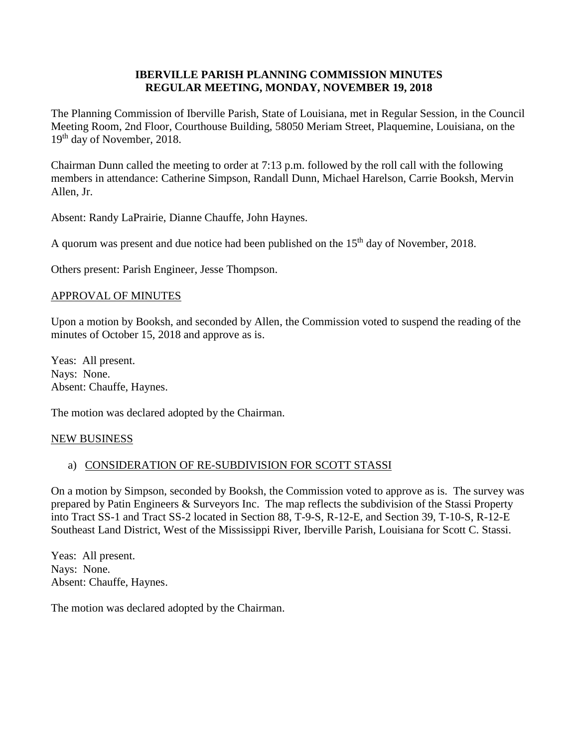### **IBERVILLE PARISH PLANNING COMMISSION MINUTES REGULAR MEETING, MONDAY, NOVEMBER 19, 2018**

The Planning Commission of Iberville Parish, State of Louisiana, met in Regular Session, in the Council Meeting Room, 2nd Floor, Courthouse Building, 58050 Meriam Street, Plaquemine, Louisiana, on the 19<sup>th</sup> day of November, 2018.

Chairman Dunn called the meeting to order at 7:13 p.m. followed by the roll call with the following members in attendance: Catherine Simpson, Randall Dunn, Michael Harelson, Carrie Booksh, Mervin Allen, Jr.

Absent: Randy LaPrairie, Dianne Chauffe, John Haynes.

A quorum was present and due notice had been published on the  $15<sup>th</sup>$  day of November, 2018.

Others present: Parish Engineer, Jesse Thompson.

#### APPROVAL OF MINUTES

Upon a motion by Booksh, and seconded by Allen, the Commission voted to suspend the reading of the minutes of October 15, 2018 and approve as is.

Yeas: All present. Nays: None. Absent: Chauffe, Haynes.

The motion was declared adopted by the Chairman.

#### NEW BUSINESS

#### a) CONSIDERATION OF RE-SUBDIVISION FOR SCOTT STASSI

On a motion by Simpson, seconded by Booksh, the Commission voted to approve as is. The survey was prepared by Patin Engineers & Surveyors Inc. The map reflects the subdivision of the Stassi Property into Tract SS-1 and Tract SS-2 located in Section 88, T-9-S, R-12-E, and Section 39, T-10-S, R-12-E Southeast Land District, West of the Mississippi River, Iberville Parish, Louisiana for Scott C. Stassi.

Yeas: All present. Nays: None. Absent: Chauffe, Haynes.

The motion was declared adopted by the Chairman.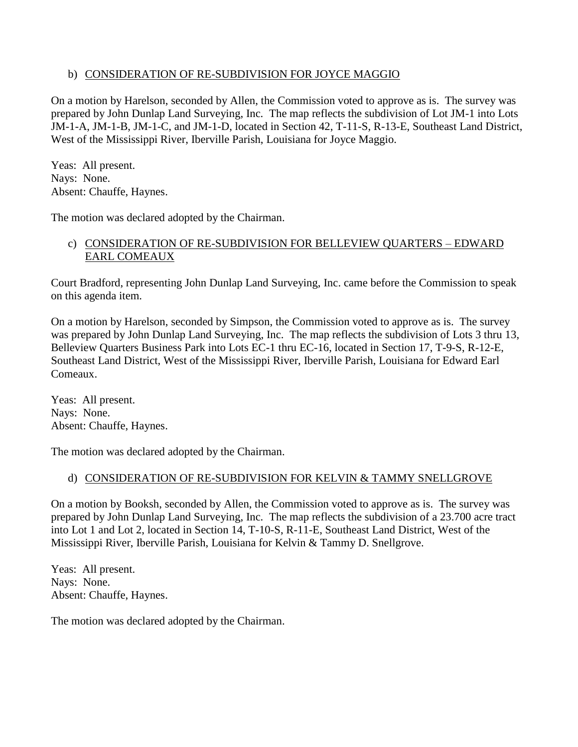## b) CONSIDERATION OF RE-SUBDIVISION FOR JOYCE MAGGIO

On a motion by Harelson, seconded by Allen, the Commission voted to approve as is. The survey was prepared by John Dunlap Land Surveying, Inc. The map reflects the subdivision of Lot JM-1 into Lots JM-1-A, JM-1-B, JM-1-C, and JM-1-D, located in Section 42, T-11-S, R-13-E, Southeast Land District, West of the Mississippi River, Iberville Parish, Louisiana for Joyce Maggio.

Yeas: All present. Nays: None. Absent: Chauffe, Haynes.

The motion was declared adopted by the Chairman.

## c) CONSIDERATION OF RE-SUBDIVISION FOR BELLEVIEW QUARTERS – EDWARD EARL COMEAUX

Court Bradford, representing John Dunlap Land Surveying, Inc. came before the Commission to speak on this agenda item.

On a motion by Harelson, seconded by Simpson, the Commission voted to approve as is. The survey was prepared by John Dunlap Land Surveying, Inc. The map reflects the subdivision of Lots 3 thru 13, Belleview Quarters Business Park into Lots EC-1 thru EC-16, located in Section 17, T-9-S, R-12-E, Southeast Land District, West of the Mississippi River, Iberville Parish, Louisiana for Edward Earl Comeaux.

Yeas: All present. Nays: None. Absent: Chauffe, Haynes.

The motion was declared adopted by the Chairman.

# d) CONSIDERATION OF RE-SUBDIVISION FOR KELVIN & TAMMY SNELLGROVE

On a motion by Booksh, seconded by Allen, the Commission voted to approve as is. The survey was prepared by John Dunlap Land Surveying, Inc. The map reflects the subdivision of a 23.700 acre tract into Lot 1 and Lot 2, located in Section 14, T-10-S, R-11-E, Southeast Land District, West of the Mississippi River, Iberville Parish, Louisiana for Kelvin & Tammy D. Snellgrove.

Yeas: All present. Nays: None. Absent: Chauffe, Haynes.

The motion was declared adopted by the Chairman.